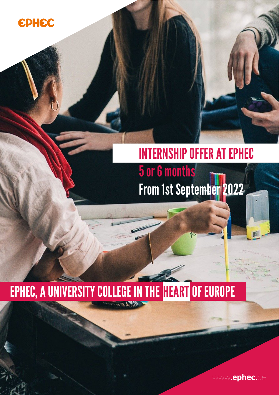

# INTERNSHIP OFFER AT EPHEC

5 or 6 months From 1st September 2022

45

# EPHEC, A UNIVERSITY COLLEGE IN THE HEART OF EUROPE

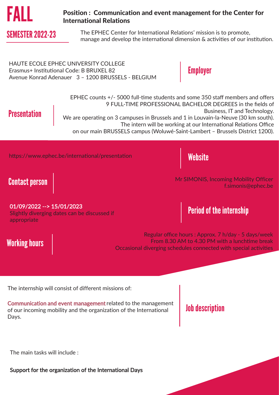

## Position : Communication and event management for the Center for International Relations

SEMESTER 2022-23 The EPHEC Center for International Relations' mission is to promote, manage and develop the international dimension & activities of our institution.

HAUTE ECOLE EPHEC UNIVERSITY COLLEGE Erasmus+ Institutional Code: B BRUXEL 82 Avenue Konrad Adenauer 3 – 1200 BRUSSELS - BELGIUM

**Employer** 

# **Presentation**

EPHEC counts +/- 5000 full-time students and some 350 staff members and offers 9 FULL-TIME PROFESSIONAL BACHELOR DEGREES in the fields of Business, IT and Technology. We are operating on 3 campuses in Brussels and 1 in Louvain-la-Neuve (30 km south). The intern will be working at our International Relations Office on our main BRUSSELS campus (Woluwé-Saint-Lambert – Brussels District 1200).

https://www.ephec.be/international/presentation

Website

# Contact person

Working hours

Mr SIMONIS, Incoming Mobility Officer f.simonis@ephec.be

### 01/09/2022 --> 15/01/2023

Slightly diverging dates can be discussed if appropriate

# Period of the internship

Regular office hours : Approx. 7 h/day - 5 days/week From 8.30 AM to 4.30 PM with a lunchtime break Occasional diverging schedules connected with special activities

The internship will consist of different missions of:

Communication and event management related to the management of our incoming mobility and the organization of the International Days.

# Job description

The main tasks will include :

Support for the organization of the International Days